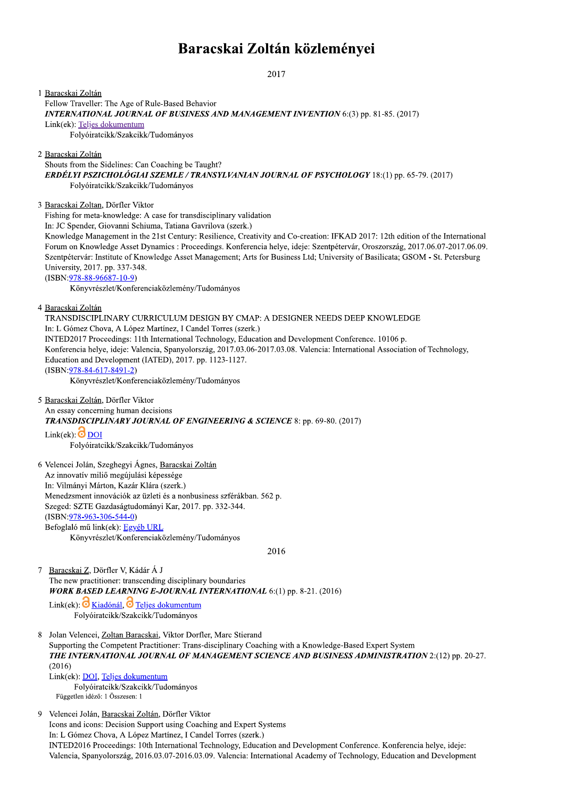## Baracskai Zoltán közleményei

2017

1 Baracskai Zoltán Fellow Traveller: The Age of Rule-Based Behavior INTERNATIONAL JOURNAL OF BUSINESS AND MANAGEMENT INVENTION 6:(3) pp. 81-85. (2017) Link(ek): Teljes dokumentum Folyóiratcikk/Szakcikk/Tudományos 2 Baracskai Zoltán Shouts from the Sidelines: Can Coaching be Taught? ERDÉLYI PSZICHOLÓGIAI SZEMLE / TRANSYLVANIAN JOURNAL OF PSYCHOLOGY 18:(1) pp. 65-79. (2017) Folyóiratcikk/Szakcikk/Tudományos 3 Baracskai Zoltan, Dörfler Viktor Fishing for meta-knowledge: A case for transdisciplinary validation In: JC Spender, Giovanni Schiuma, Tatiana Gavrilova (szerk.) Knowledge Management in the 21st Century: Resilience, Creativity and Co-creation: IFKAD 2017: 12th edition of the International Forum on Knowledge Asset Dynamics : Proceedings. Konferencia helye, ideje: Szentpétervár, Oroszország, 2017.06.07-2017.06.09. Szentpétervár: Institute of Knowledge Asset Management; Arts for Business Ltd; University of Basilicata; GSOM - St. Petersburg University, 2017. pp. 337-348.  $(ISBN: 978-88-96687-10-9)$ Könyvrészlet/Konferenciaközlemény/Tudományos 4 Baracskai Zoltán TRANSDISCIPLINARY CURRICULUM DESIGN BY CMAP: A DESIGNER NEEDS DEEP KNOWLEDGE In: L Gómez Chova, A López Martínez, I Candel Torres (szerk.) INTED2017 Proceedings: 11th International Technology, Education and Development Conference. 10106 p. Konferencia helye, ideje: Valencia, Spanyolország, 2017.03.06-2017.03.08. Valencia: International Association of Technology, Education and Development (IATED), 2017. pp. 1123-1127.  $(ISBN:978-84-617-8491-2)$ Könyvrészlet/Konferenciaközlemény/Tudományos 5 Baracskai Zoltán, Dörfler Viktor An essay concerning human decisions **TRANSDISCIPLINARY JOURNAL OF ENGINEERING & SCIENCE 8: pp. 69-80. (2017)**  $Link(ek)$ : O DOI Folyóiratcikk/Szakcikk/Tudományos 6 Velencei Jolán, Szeghegyi Ágnes, Baracskai Zoltán Az innovatív miliő megújulási képessége In: Vilmányi Márton, Kazár Klára (szerk.) Menedzsment innovációk az üzleti és a nonbusiness szférákban. 562 p. Szeged: SZTE Gazdaságtudományi Kar, 2017. pp. 332-344.  $(ISBN: 978-963-306-544-0)$ Befoglaló mű link(ek): Egyéb URL Könyvrészlet/Konferenciaközlemény/Tudományos 2016  $\overline{7}$ Baracskai Z, Dörfler V, Kádár Á J The new practitioner: transcending disciplinary boundaries **WORK BASED LEARNING E-JOURNAL INTERNATIONAL** 6:(1) pp. 8-21. (2016) Link(ek):  $\overline{O}$  Kiadónál,  $\overline{O}$  Teljes dokumentum Folyóiratcikk/Szakcikk/Tudományos Jolan Velencei, Zoltan Baracskai, Viktor Dorfler, Marc Stierand Supporting the Competent Practitioner: Trans-disciplinary Coaching with a Knowledge-Based Expert System THE INTERNATIONAL JOURNAL OF MANAGEMENT SCIENCE AND BUSINESS ADMINISTRATION 2:(12) pp. 20-27.  $(2016)$ Link(ek): DOI, Teljes dokumentum Folyóiratcikk/Szakcikk/Tudományos Független idéző: 1 Összesen: 1  $\mathbf Q$ Velencei Jolán, Baracskai Zoltán, Dörfler Viktor Icons and icons: Decision Support using Coaching and Expert Systems In: L Gómez Chova, A López Martínez, I Candel Torres (szerk.) INTED2016 Proceedings: 10th International Technology, Education and Development Conference. Konferencia helye, ideje:

Valencia, Spanyolország, 2016.03.07-2016.03.09. Valencia: International Academy of Technology, Education and Development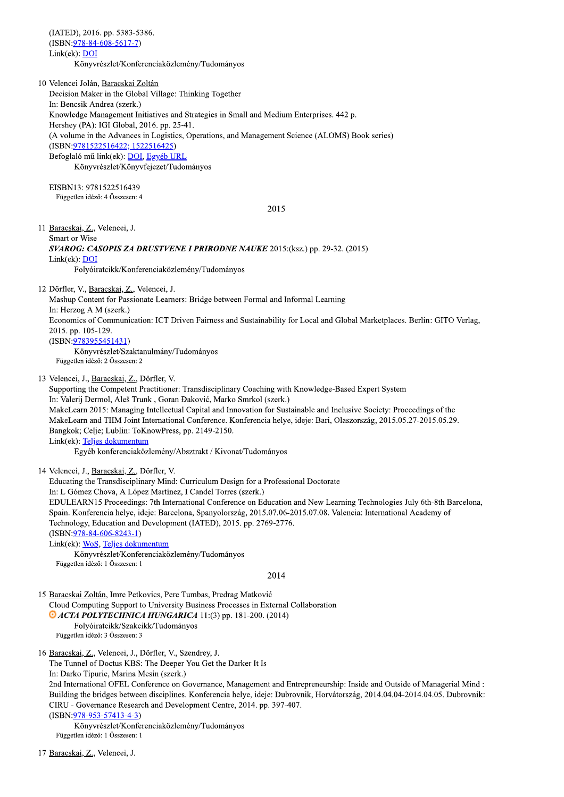(IATED), 2016. pp. 5383-5386.  $(ISBN:978-84-608-5617-7)$ Link(ek): DOI Könyvrészlet/Konferenciaközlemény/Tudományos

10 Velencei Jolán, Baracskai Zoltán Decision Maker in the Global Village: Thinking Together In: Bencsik Andrea (szerk.) Knowledge Management Initiatives and Strategies in Small and Medium Enterprises. 442 p. Hershey (PA): IGI Global, 2016. pp. 25-41. (A volume in the Advances in Logistics, Operations, and Management Science (ALOMS) Book series) (ISBN: 9781522516422; 1522516425) Befoglaló mű link(ek): DOI, Egyéb URL Könyvrészlet/Könyvfejezet/Tudományos

EISBN13: 9781522516439 Független idéző: 4 Összesen: 4

2015

11 Baracskai, Z., Velencei, J. Smart or Wise SVAROG: CASOPIS ZA DRUSTVENE I PRIRODNE NAUKE 2015:(ksz.) pp. 29-32. (2015) Link(ek): DOI Folyóiratcikk/Konferenciaközlemény/Tudományos

12 Dörfler, V., Baracskai, Z., Velencei, J.

Mashup Content for Passionate Learners: Bridge between Formal and Informal Learning In: Herzog A M (szerk.) Economics of Communication: ICT Driven Fairness and Sustainability for Local and Global Marketplaces. Berlin: GITO Verlag, 2015. pp. 105-129.  $(ISBN: 9783955451431)$ Könyvrészlet/Szaktanulmány/Tudományos Független idéző: 2 Összesen: 2

13 Velencei, J., Baracskai, Z., Dörfler, V.

Supporting the Competent Practitioner: Transdisciplinary Coaching with Knowledge-Based Expert System In: Valerij Dermol, Aleš Trunk, Goran Đaković, Marko Smrkol (szerk.) MakeLearn 2015: Managing Intellectual Capital and Innovation for Sustainable and Inclusive Society: Proceedings of the MakeLearn and TIIM Joint International Conference. Konferencia helye, ideje: Bari, Olaszország, 2015.05.27-2015.05.29. Bangkok; Celje; Lublin: ToKnowPress, pp. 2149-2150. Link(ek): Teljes dokumentum

Egyéb konferenciaközlemény/Absztrakt / Kivonat/Tudományos

14 Velencei, J., Baracskai, Z., Dörfler, V.

Educating the Transdisciplinary Mind: Curriculum Design for a Professional Doctorate In: L Gómez Chova, A López Martínez, I Candel Torres (szerk.) EDULEARN15 Proceedings: 7th International Conference on Education and New Learning Technologies July 6th-8th Barcelona, Spain. Konferencia helye, ideje: Barcelona, Spanyolország, 2015.07.06-2015.07.08. Valencia: International Academy of Technology, Education and Development (IATED), 2015. pp. 2769-2776.  $(ISBN:978-84-606-8243-1)$ Link(ek): WoS, Teljes dokumentum Könyvrészlet/Konferenciaközlemény/Tudományos Független idéző: 1 Összesen: 1 2014

15 Baracskai Zoltán, Imre Petkovics, Pere Tumbas, Predrag Matković Cloud Computing Support to University Business Processes in External Collaboration • ACTA POLYTECHNICA HUNGARICA 11:(3) pp. 181-200. (2014) Folyóiratcikk/Szakcikk/Tudományos

Független idéző: 3 Összesen: 3

16 Baracskai, Z., Velencei, J., Dörfler, V., Szendrey, J.

The Tunnel of Doctus KBS: The Deeper You Get the Darker It Is

In: Darko Tipuric, Marina Mesin (szerk.)

2nd International OFEL Conference on Governance, Management and Entrepreneurship: Inside and Outside of Managerial Mind: Building the bridges between disciplines. Konferencia helye, ideje: Dubrovnik, Horvátország, 2014.04.04-2014.04.05. Dubrovnik: CIRU - Governance Research and Development Centre, 2014. pp. 397-407.

 $(ISBN:978-953-57413-4-3)$ 

Könyvrészlet/Konferenciaközlemény/Tudományos Független idéző: 1 Összesen: 1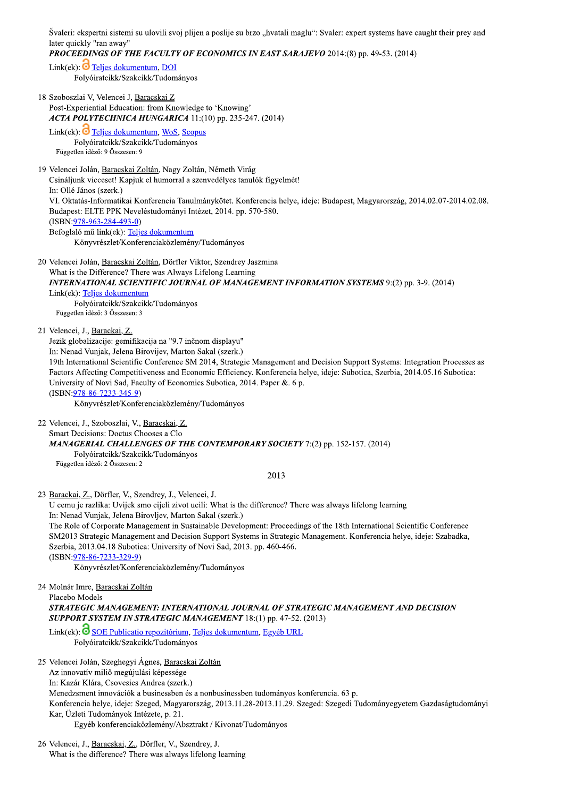Švaleri: ekspertni sistemi su ulovili svoj plijen a poslije su brzo "hvatali maglu": Svaler: expert systems have caught their prey and later quickly "ran away"

**PROCEEDINGS OF THE FACULTY OF ECONOMICS IN EAST SARAJEVO 2014:(8) pp. 49-53. (2014)** 

Link(ek):  $\overline{O}$  Teljes dokumentum, DOI Folyóiratcikk/Szakcikk/Tudományos

18 Szoboszlai V, Velencei J, Baracskai Z Post-Experiential Education: from Knowledge to 'Knowing' ACTA POLYTECHNICA HUNGARICA 11:(10) pp. 235-247. (2014)

Link(ek):  $\overline{O}$  Teljes dokumentum, WoS, Scopus Folyóirateikk/Szakeikk/Tudományos Független idéző: 9 Összesen: 9

19 Velencei Jolán, Baracskai Zoltán, Nagy Zoltán, Németh Virág Csináljunk vicceset! Kapjuk el humorral a szenvedélyes tanulók figyelmét! In: Ollé János (szerk.) VI. Oktatás-Informatikai Konferencia Tanulmánykötet. Konferencia helye, ideje: Budapest, Magyarország, 2014.02.07-2014.02.08. Budapest: ELTE PPK Neveléstudományi Intézet, 2014. pp. 570-580.  $(ISBN:978-963-284-493-0)$ Befoglaló mű link(ek): Teljes dokumentum Könyvrészlet/Konferenciaközlemény/Tudományos

20 Velencei Jolán, Baracskai Zoltán, Dörfler Viktor, Szendrey Jaszmina What is the Difference? There was Always Lifelong Learning INTERNATIONAL SCIENTIFIC JOURNAL OF MANAGEMENT INFORMATION SYSTEMS 9:(2) pp. 3-9. (2014) Link(ek): Teljes dokumentum Folyóiratcikk/Szakcikk/Tudományos Független idéző: 3 Összesen: 3

21 Velencei, J., Barackai, Z.

Jezik globalizacije: gemifikacija na "9.7 inčnom displayu"

In: Nenad Vunjak, Jelena Birovijev, Marton Sakal (szerk.)

19th International Scientific Conference SM 2014, Strategic Management and Decision Support Systems: Integration Processes as Factors Affecting Competitiveness and Economic Efficiency. Konferencia helve, ideie: Subotica, Szerbia, 2014.05.16 Subotica: University of Novi Sad, Faculty of Economics Subotica, 2014. Paper &. 6 p.

 $(ISBN:978-86-7233-345-9)$ 

Könyvrészlet/Konferenciaközlemény/Tudományos

22 Velencei, J., Szoboszlai, V., Baracskai, Z. Smart Decisions: Doctus Chooses a Clo

**MANAGERIAL CHALLENGES OF THE CONTEMPORARY SOCIETY 7:(2) pp. 152-157. (2014)** 

Folyóiratcikk/Szakcikk/Tudományos

Független idéző: 2 Összesen: 2

2013

23 Barackai, Z., Dörfler, V., Szendrey, J., Velencei, J.

U cemu je razlika: Uvijek smo cijeli zivot ucili: What is the difference? There was always lifelong learning In: Nenad Vunjak, Jelena Birovljev, Marton Sakal (szerk.)

The Role of Corporate Management in Sustainable Development: Proceedings of the 18th International Scientific Conference SM2013 Strategic Management and Decision Support Systems in Strategic Management. Konferencia helye, ideje: Szabadka, Szerbia, 2013.04.18 Subotica: University of Novi Sad, 2013. pp. 460-466.

 $(ISBN:978-86-7233-329-9)$ 

Könyvrészlet/Konferenciaközlemény/Tudományos

24 Molnár Imre, Baracskai Zoltán

Placebo Models

STRATEGIC MANAGEMENT: INTERNATIONAL JOURNAL OF STRATEGIC MANAGEMENT AND DECISION **SUPPORT SYSTEM IN STRATEGIC MANAGEMENT 18:(1) pp. 47-52. (2013)** 

Link(ek): SOE Publicatio repozitórium, Teljes dokumentum, Egyéb URL Folyóiratcikk/Szakcikk/Tudományos

25 Velencei Jolán, Szeghegyi Ágnes, Baracskai Zoltán

Az innovatív miliő megújulási képessége

In: Kazár Klára, Csovcsics Andrea (szerk.)

Menedzsment innovációk a businessben és a nonbusinessben tudományos konferencia. 63 p.

Konferencia helye, ideje: Szeged, Magyarország, 2013.11.28-2013.11.29. Szeged: Szegedi Tudományegyetem Gazdaságtudományi Kar, Üzleti Tudományok Intézete, p. 21.

Egyéb konferenciaközlemény/Absztrakt / Kivonat/Tudományos

26 Velencei, J., Baracskai, Z., Dörfler, V., Szendrey, J. What is the difference? There was always lifelong learning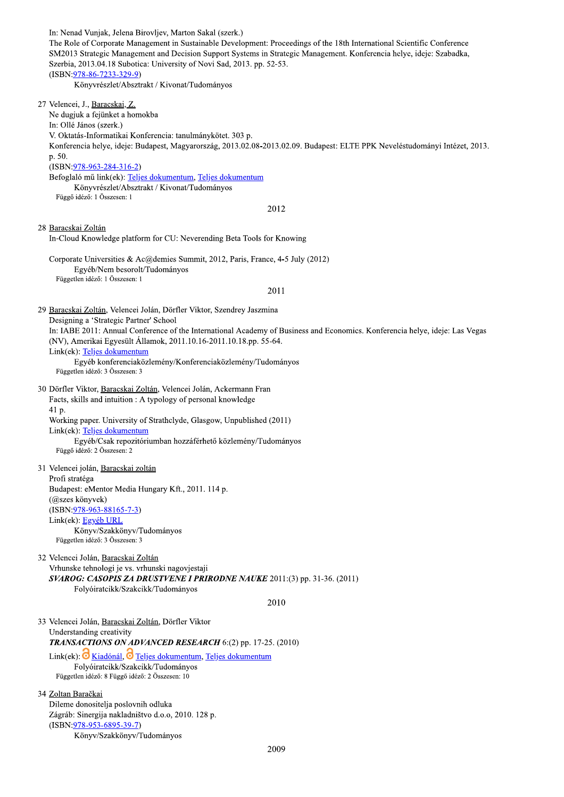In: Nenad Vunjak, Jelena Birovljev, Marton Sakal (szerk.) The Role of Corporate Management in Sustainable Development: Proceedings of the 18th International Scientific Conference SM2013 Strategic Management and Decision Support Systems in Strategic Management. Konferencia helye, ideje: Szabadka, Szerbia, 2013.04.18 Subotica: University of Novi Sad, 2013. pp. 52-53.  $(ISBN:978-86-7233-329-9)$ Könyvrészlet/Absztrakt / Kivonat/Tudományos 27 Velencei, J., Baracskai, Z. Ne dugjuk a fejünket a homokba In: Ollé János (szerk.) V. Oktatás-Informatikai Konferencia: tanulmánykötet. 303 p. Konferencia helye, ideje: Budapest, Magyarország, 2013.02.08-2013.02.09. Budapest: ELTE PPK Neveléstudományi Intézet, 2013. p. 50.  $(ISBN:978-963-284-316-2)$ Befoglaló mű link(ek): Teljes dokumentum, Teljes dokumentum Könyvrészlet/Absztrakt / Kivonat/Tudományos Függő idéző: 1 Összesen: 1 2012 28 Baracskai Zoltán In-Cloud Knowledge platform for CU: Neverending Beta Tools for Knowing Corporate Universities & Ac@demies Summit, 2012, Paris, France, 4-5 July (2012) Egyéb/Nem besorolt/Tudományos Független idéző: 1 Összesen: 1 2011 29 Baracskai Zoltán, Velencei Jolán, Dörfler Viktor, Szendrey Jaszmina Designing a 'Strategic Partner' School In: IABE 2011: Annual Conference of the International Academy of Business and Economics. Konferencia helye, ideje: Las Vegas (NV), Amerikai Egyesült Államok, 2011.10.16-2011.10.18.pp. 55-64. Link(ek): Teljes dokumentum Egyéb konferenciaközlemény/Konferenciaközlemény/Tudományos Független idéző: 3 Összesen: 3 30 Dörfler Viktor, Baracskai Zoltán, Velencei Jolán, Ackermann Fran Facts, skills and intuition : A typology of personal knowledge 41 p. Working paper. University of Strathclyde, Glasgow, Unpublished (2011) Link(ek): Teljes dokumentum Egyéb/Csak repozitóriumban hozzáférhető közlemény/Tudományos Függő idéző: 2 Összesen: 2 31 Velencei jolán, Baracskai zoltán Profi stratéga Budapest: eMentor Media Hungary Kft., 2011. 114 p. (@szes könyvek)  $(ISBN:978-963-88165-7-3)$ Link(ek): Egyéb URL Könyv/Szakkönyv/Tudományos Független idéző: 3 Összesen: 3 32 Velencei Jolán, Baracskai Zoltán Vrhunske tehnologi je vs. vrhunski nagovjestaji SVAROG: CASOPIS ZA DRUSTVENE I PRIRODNE NAUKE 2011:(3) pp. 31-36. (2011) Folyóiratcikk/Szakcikk/Tudományos 2010 33 Velencei Jolán, Baracskai Zoltán, Dörfler Viktor Understanding creativity TRANSACTIONS ON ADVANCED RESEARCH 6:(2) pp. 17-25. (2010) Link(ek):  $\overrightarrow{O}$  Kiadónál,  $\overrightarrow{O}$  Teljes dokumentum, Teljes dokumentum Folyóiratcikk/Szakcikk/Tudományos Független idéző: 8 Függő idéző: 2 Összesen: 10 34 Zoltan Baračkai Dileme donositelja poslovnih odluka

Zágráb: Sinergija nakladništvo d.o.o, 2010. 128 p.  $(ISBN:978-953-6895-39-7)$ Könyv/Szakkönyv/Tudományos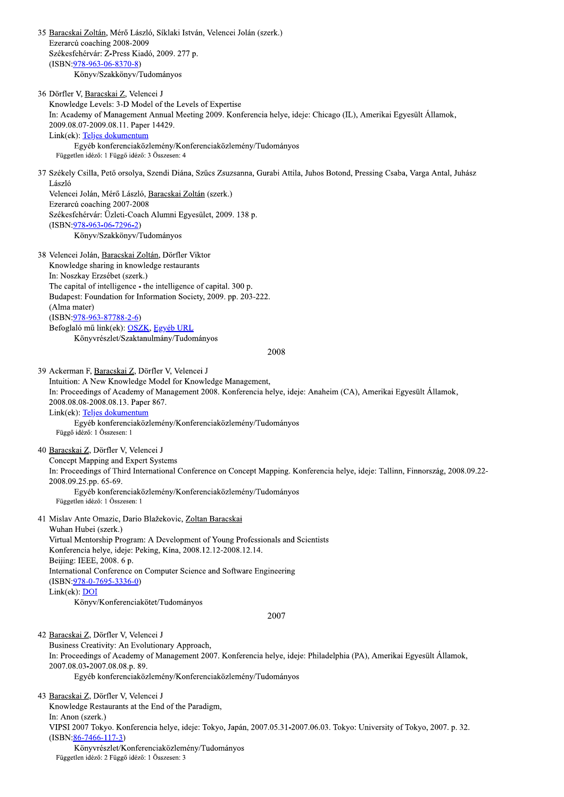35 Baracskai Zoltán, Mérő László, Síklaki István, Velencei Jolán (szerk.) Ezerarcú coaching 2008-2009 Székesfehérvár: Z-Press Kiadó, 2009. 277 p.  $(ISBN:978-963-06-8370-8)$ Könyv/Szakkönyv/Tudományos 36 Dörfler V, Baracskai Z, Velencei J Knowledge Levels: 3-D Model of the Levels of Expertise In: Academy of Management Annual Meeting 2009. Konferencia helve, ideie: Chicago (IL), Amerikai Egyesült Államok, 2009.08.07-2009.08.11. Paper 14429. Link(ek): Teljes dokumentum Egyéb konferenciaközlemény/Konferenciaközlemény/Tudományos Független idéző: 1 Függő idéző: 3 Összesen: 4 37 Székely Csilla, Pető orsolya, Szendi Diána, Szűcs Zsuzsanna, Gurabi Attila, Juhos Botond, Pressing Csaba, Varga Antal, Juhász László Velencei Jolán, Mérő László, Baracskai Zoltán (szerk.) Ezerarcú coaching 2007-2008 Székesfehérvár: Üzleti-Coach Alumni Egyesület, 2009. 138 p.  $(ISBN:978-963-06-7296-2)$ Könyv/Szakkönyv/Tudományos 38 Velencei Jolán, Baracskai Zoltán, Dörfler Viktor Knowledge sharing in knowledge restaurants In: Noszkay Erzsébet (szerk.) The capital of intelligence - the intelligence of capital. 300 p. Budapest: Foundation for Information Society, 2009. pp. 203-222. (Alma mater)  $(ISBN:978-963-87788-2-6)$ Befoglaló mű link(ek): OSZK, Egyéb URL Könyvrészlet/Szaktanulmány/Tudományos 2008 39 Ackerman F, Baracskai Z, Dörfler V, Velencei J Intuition: A New Knowledge Model for Knowledge Management, In: Proceedings of Academy of Management 2008. Konferencia helye, ideje: Anaheim (CA), Amerikai Egyesült Államok, 2008.08.08-2008.08.13. Paper 867. Link(ek): Teljes dokumentum Egyéb konferenciaközlemény/Konferenciaközlemény/Tudományos Függő idéző: 1 Összesen: 1 40 Baracskai Z, Dörfler V, Velencei J Concept Mapping and Expert Systems In: Proceedings of Third International Conference on Concept Mapping. Konferencia helye, ideje: Tallinn, Finnország, 2008.09.22-2008.09.25.pp. 65-69. Egyéb konferenciaközlemény/Konferenciaközlemény/Tudományos Független idéző: 1 Összesen: 1 41 Mislav Ante Omazic, Dario Blažekovic, Zoltan Baracskai Wuhan Hubei (szerk.) Virtual Mentorship Program: A Development of Young Professionals and Scientists Konferencia helye, ideje: Peking, Kína, 2008.12.12-2008.12.14. Beijing: IEEE, 2008. 6 p. International Conference on Computer Science and Software Engineering  $(ISBN:978-0-7695-3336-0)$ Link(ek): DOI Könyv/Konferenciakötet/Tudományos 2007 42 Baracskai Z, Dörfler V, Velencei J Business Creativity: An Evolutionary Approach, In: Proceedings of Academy of Management 2007. Konferencia helye, ideje: Philadelphia (PA), Amerikai Egyesült Államok, 2007.08.03-2007.08.08.p. 89. Egyéb konferenciaközlemény/Konferenciaközlemény/Tudományos 43 Baracskai Z, Dörfler V, Velencei J Knowledge Restaurants at the End of the Paradigm, In: Anon (szerk.) VIPSI 2007 Tokyo. Konferencia helye, ideje: Tokyo, Japán, 2007.05.31-2007.06.03. Tokyo: University of Tokyo, 2007. p. 32.  $(ISBN:86-7466-117-3)$ 

Könyvrészlet/Konferenciaközlemény/Tudományos Független idéző: 2 Függő idéző: 1 Összesen: 3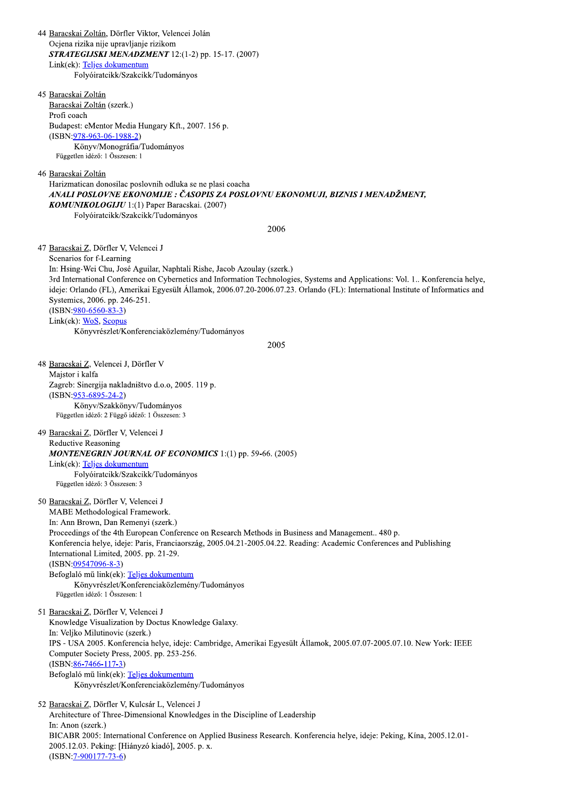44 Baracskai Zoltán, Dörfler Viktor, Velencei Jolán Ocjena rizika nije upravljanje rizikom STRATEGIJSKI MENADZMENT 12:(1-2) pp. 15-17. (2007) Link(ek): Teljes dokumentum Folyóiratcikk/Szakcikk/Tudományos 45 Baracskai Zoltán Baracskai Zoltán (szerk.)

Profi coach Budapest: eMentor Media Hungary Kft., 2007. 156 p.  $(ISBN:978-963-06-1988-2)$ Könyv/Monográfia/Tudományos Független idéző: 1 Összesen: 1

46 Baracskai Zoltán

Harizmatican donosilac poslovnih odluka se ne plasi coacha ANALI POSLOVNE EKONOMIJE : ČASOPIS ZA POSLOVNU EKONOMUJI, BIZNIS I MENADŽMENT, **KOMUNIKOLOGIJU** 1:(1) Paper Baracskai. (2007) Folyóiratcikk/Szakcikk/Tudományos

2006

47 Baracskai Z, Dörfler V, Velencei J

Scenarios for f-Learning

In: Hsing-Wei Chu, José Aguilar, Naphtali Rishe, Jacob Azoulay (szerk.) 3rd International Conference on Cybernetics and Information Technologies, Systems and Applications: Vol. 1. Konferencia helye, ideje: Orlando (FL), Amerikai Egyesült Államok, 2006.07.20-2006.07.23. Orlando (FL): International Institute of Informatics and Systemics, 2006. pp. 246-251.  $(ISBN:980-6560-83-3)$ 

Link(ek): WoS, Scopus

Könyvrészlet/Konferenciaközlemény/Tudományos

2005

48 Baracskai Z, Velencei J, Dörfler V Majstor i kalfa Zagreb: Sinergija nakladništvo d.o.o, 2005. 119 p.  $(ISBN:953-6895-24-2)$ Könyv/Szakkönyv/Tudományos Független idéző: 2 Függő idéző: 1 Összesen: 3

## 49 Baracskai Z, Dörfler V, Velencei J **Reductive Reasoning**

## MONTENEGRIN JOURNAL OF ECONOMICS 1:(1) pp. 59-66. (2005)

Link(ek): Teljes dokumentum Folyóiratcikk/Szakcikk/Tudományos Független idéző: 3 Összesen: 3

50 Baracskai Z, Dörfler V, Velencei J

MABE Methodological Framework. In: Ann Brown, Dan Remenyi (szerk.) Proceedings of the 4th European Conference on Research Methods in Business and Management.. 480 p. Konferencia helye, ideje: Paris, Franciaország, 2005.04.21-2005.04.22. Reading: Academic Conferences and Publishing International Limited, 2005. pp. 21-29.  $(ISBN:09547096-8-3)$ Befoglaló mű link(ek): Teljes dokumentum Könyvrészlet/Konferenciaközlemény/Tudományos Független idéző: 1 Összesen: 1

51 Baracskai Z, Dörfler V, Velencei J Knowledge Visualization by Doctus Knowledge Galaxy. In: Veliko Milutinovic (szerk.) IPS - USA 2005. Konferencia helye, ideje: Cambridge, Amerikai Egyesült Államok, 2005.07.07-2005.07.10. New York: IEEE Computer Society Press, 2005. pp. 253-256.  $(ISBN:86-7466-117-3)$ Befoglaló mű link(ek): Teljes dokumentum Könyvrészlet/Konferenciaközlemény/Tudományos

52 Baracskai Z, Dörfler V, Kulcsár L, Velencei J Architecture of Three-Dimensional Knowledges in the Discipline of Leadership In: Anon (szerk.) BICABR 2005: International Conference on Applied Business Research. Konferencia helye, ideje: Peking, Kína, 2005.12.01-2005.12.03. Peking: [Hiányzó kiadó], 2005. p. x.  $(ISBN:7-900177-73-6)$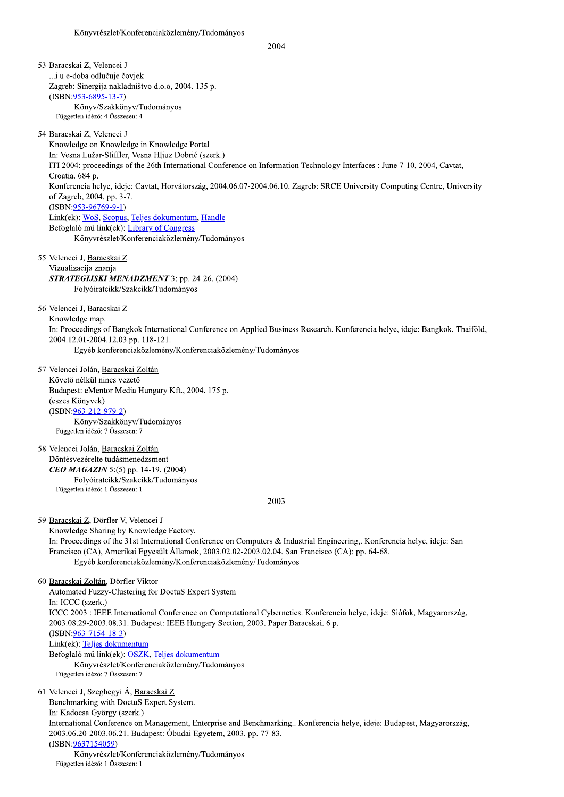2004

53 Baracskai Z, Velencei J ...i u e-doba odlučuje čovjek Zagreb: Sinergija nakladništvo d.o.o, 2004. 135 p.  $(ISBN:953-6895-13-7)$ Könyv/Szakkönyv/Tudományos Független idéző: 4 Összesen: 4 54 Baracskai Z, Velencei J Knowledge on Knowledge in Knowledge Portal In: Vesna Lužar-Stiffler, Vesna Hljuz Dobrić (szerk.) ITI 2004: proceedings of the 26th International Conference on Information Technology Interfaces : June 7-10, 2004, Cavtat, Croatia. 684 p. Konferencia helye, ideje: Cavtat, Horvátország, 2004.06.07-2004.06.10. Zagreb: SRCE University Computing Centre, University of Zagreb, 2004. pp. 3-7.  $(ISBN:953-96769-9-1)$ Link(ek): WoS, Scopus, Teljes dokumentum, Handle Befoglaló mű link(ek): Library of Congress Könyvrészlet/Konferenciaközlemény/Tudományos 55 Velencei J, Baracskai Z Vizualizacija znanja STRATEGIJSKI MENADZMENT 3: pp. 24-26. (2004) Folyóiratcikk/Szakcikk/Tudományos 56 Velencei J, Baracskai Z Knowledge map. In: Proceedings of Bangkok International Conference on Applied Business Research. Konferencia helye, ideje: Bangkok, Thaiföld, 2004.12.01-2004.12.03.pp. 118-121. Egyéb konferenciaközlemény/Konferenciaközlemény/Tudományos 57 Velencei Jolán, Baracskai Zoltán Követő nélkül nincs vezető Budapest: eMentor Media Hungary Kft., 2004. 175 p. (eszes Könyvek)  $(ISBN:963-212-979-2)$ Könyv/Szakkönyv/Tudományos Független idéző: 7 Összesen: 7 58 Velencei Jolán, Baracskai Zoltán Döntésvezérelte tudásmenedzsment CEO MAGAZIN 5:(5) pp. 14-19. (2004) Folyóiratcikk/Szakcikk/Tudományos Független idéző: 1 Összesen: 1 2003 59 Baracskai Z, Dörfler V, Velencei J Knowledge Sharing by Knowledge Factory. In: Proceedings of the 31st International Conference on Computers & Industrial Engineering,. Konferencia helye, ideje: San Francisco (CA), Amerikai Egyesült Államok, 2003.02.02-2003.02.04. San Francisco (CA): pp. 64-68. Egyéb konferenciaközlemény/Konferenciaközlemény/Tudományos 60 Baracskai Zoltán, Dörfler Viktor Automated Fuzzy-Clustering for DoctuS Expert System In: ICCC (szerk.) ICCC 2003 : IEEE International Conference on Computational Cybernetics. Konferencia helye, ideje: Siófok, Magyarország, 2003.08.29-2003.08.31. Budapest: IEEE Hungary Section, 2003. Paper Baracskai. 6 p.  $(ISBN:963-7154-18-3)$ Link(ek): Teljes dokumentum Befoglaló mű link(ek): OSZK, Teljes dokumentum Könyvrészlet/Konferenciaközlemény/Tudományos Független idéző: 7 Összesen: 7 61 Velencei J, Szeghegyi Á, Baracskai Z Benchmarking with DoctuS Expert System. In: Kadocsa György (szerk.) International Conference on Management, Enterprise and Benchmarking.. Konferencia helye, ideje: Budapest, Magyarország, 2003.06.20-2003.06.21. Budapest: Óbudai Egyetem, 2003. pp. 77-83. (ISBN:9637154059) Könyvrészlet/Konferenciaközlemény/Tudományos

Független idéző: 1 Összesen: 1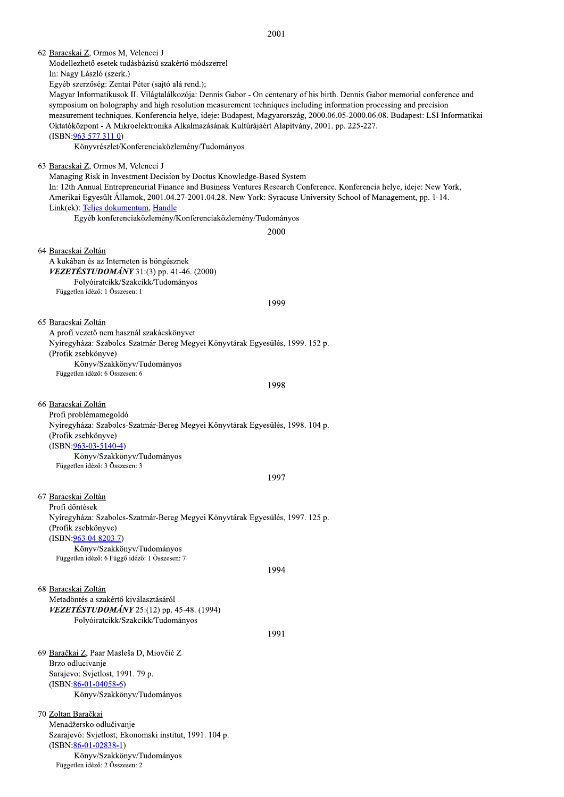2001

62 Baracskai Z, Ormos M, Velencei J Modellezhető esetek tudásbázisú szakértő módszerrel In: Nagy László (szerk.) Egyéb szerzőség: Zentai Péter (sajtó alá rend.); Magyar Informatikusok II. Világtalálkozója: Dennis Gabor - On centenary of his birth. Dennis Gabor memorial conference and symposium on holography and high resolution measurement techniques including information processing and precision measurement techniques. Konferencia helye, ideje: Budapest, Magyarország, 2000.06.05-2000.06.08. Budapest: LSI Informatikai Oktatóközpont - A Mikroelektronika Alkalmazásának Kultúrájáért Alapítvány, 2001. pp. 225-227. (ISBN: 963 577 311 0) Könyvrészlet/Konferenciaközlemény/Tudományos 63 Baracskai Z, Ormos M, Velencei J Managing Risk in Investment Decision by Doctus Knowledge-Based System In: 12th Annual Entrepreneurial Finance and Business Ventures Research Conference. Konferencia helye, ideje: New York, Amerikai Egyesült Államok, 2001.04.27-2001.04.28. New York: Syracuse University School of Management, pp. 1-14. Link(ek): Telies dokumentum, Handle Egyéb konferenciaközlemény/Konferenciaközlemény/Tudományos 2000 64 Baracskai Zoltán A kukában és az Interneten is böngésznek **VEZETÉSTUDOMÁNY** 31:(3) pp. 41-46. (2000) Folyóiratcikk/Szakcikk/Tudományos Független idéző: 1 Összesen: 1 1999 65 Baracskai Zoltán A profi vezető nem használ szakácskönyvet Nyíregyháza: Szabolcs-Szatmár-Bereg Megyei Könyvtárak Egyesülés, 1999. 152 p. (Profik zsebkönyve) Könyv/Szakkönyv/Tudományos Független idéző: 6 Összesen: 6 1998 66 Baracskai Zoltán Profi problémamegoldó Nyíregyháza: Szabolcs-Szatmár-Bereg Megyei Könyvtárak Egyesülés, 1998. 104 p. (Profik zsebkönyve)  $(ISBN:963-03-5140-4)$ Könyv/Szakkönyv/Tudományos Független idéző: 3 Összesen: 3 1997 67 Baracskai Zoltán Profi döntések Nyíregyháza: Szabolcs-Szatmár-Bereg Megyei Könyvtárak Egyesülés, 1997. 125 p. (Profik zsebkönyve) (ISBN:963 04 8203 7) Könyv/Szakkönyv/Tudományos Független idéző: 6 Függő idéző: 1 Összesen: 7 1994 68 Baracskai Zoltán Metadöntés a szakértő kiválasztásáról VEZETÉSTUDOMÁNY 25:(12) pp. 45-48. (1994) Folyóiratcikk/Szakcikk/Tudományos 1991 69 Baračkai Z, Paar Masleša D, Miovčić Z Brzo odlucivanje Sarajevo: Svjetlost, 1991. 79 p.  $(ISBN:86-01-04058-6)$ Könyv/Szakkönyv/Tudományos 70 Zoltan Baračkai Menadžersko odlučivanje Szarajevó: Svjetlost; Ekonomski institut, 1991. 104 p.  $(ISBN:86-01-02838-1)$ 

Könyv/Szakkönyv/Tudományos

Független idéző: 2 Összesen: 2